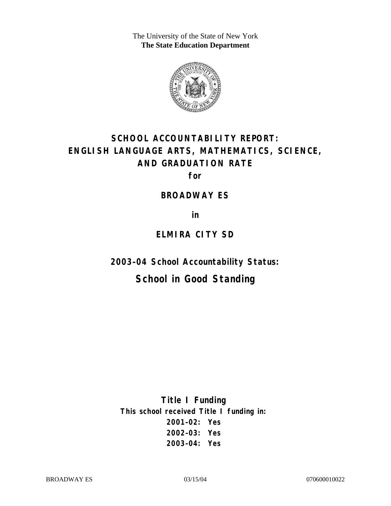The University of the State of New York **The State Education Department** 



# **SCHOOL ACCOUNTABILITY REPORT: ENGLISH LANGUAGE ARTS, MATHEMATICS, SCIENCE, AND GRADUATION RATE**

**for** 

#### **BROADWAY ES**

**in** 

# **ELMIRA CITY SD**

**2003–04 School Accountability Status:** 

# **School in Good Standing**

**Title I Funding This school received Title I funding in: 2001–02: Yes 2002–03: Yes 2003–04: Yes**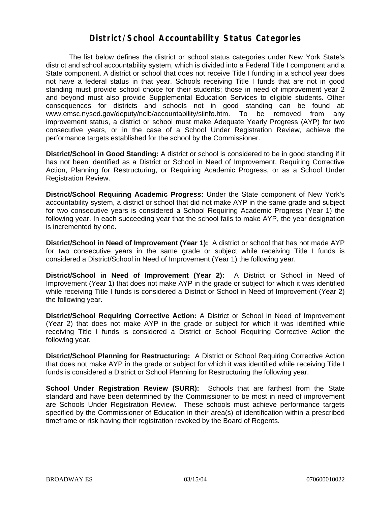#### **District/School Accountability Status Categories**

The list below defines the district or school status categories under New York State's district and school accountability system, which is divided into a Federal Title I component and a State component. A district or school that does not receive Title I funding in a school year does not have a federal status in that year. Schools receiving Title I funds that are not in good standing must provide school choice for their students; those in need of improvement year 2 and beyond must also provide Supplemental Education Services to eligible students. Other consequences for districts and schools not in good standing can be found at: www.emsc.nysed.gov/deputy/nclb/accountability/siinfo.htm. To be removed from any improvement status, a district or school must make Adequate Yearly Progress (AYP) for two consecutive years, or in the case of a School Under Registration Review, achieve the performance targets established for the school by the Commissioner.

**District/School in Good Standing:** A district or school is considered to be in good standing if it has not been identified as a District or School in Need of Improvement, Requiring Corrective Action, Planning for Restructuring, or Requiring Academic Progress, or as a School Under Registration Review.

**District/School Requiring Academic Progress:** Under the State component of New York's accountability system, a district or school that did not make AYP in the same grade and subject for two consecutive years is considered a School Requiring Academic Progress (Year 1) the following year. In each succeeding year that the school fails to make AYP, the year designation is incremented by one.

**District/School in Need of Improvement (Year 1):** A district or school that has not made AYP for two consecutive years in the same grade or subject while receiving Title I funds is considered a District/School in Need of Improvement (Year 1) the following year.

**District/School in Need of Improvement (Year 2):** A District or School in Need of Improvement (Year 1) that does not make AYP in the grade or subject for which it was identified while receiving Title I funds is considered a District or School in Need of Improvement (Year 2) the following year.

**District/School Requiring Corrective Action:** A District or School in Need of Improvement (Year 2) that does not make AYP in the grade or subject for which it was identified while receiving Title I funds is considered a District or School Requiring Corrective Action the following year.

**District/School Planning for Restructuring:** A District or School Requiring Corrective Action that does not make AYP in the grade or subject for which it was identified while receiving Title I funds is considered a District or School Planning for Restructuring the following year.

**School Under Registration Review (SURR):** Schools that are farthest from the State standard and have been determined by the Commissioner to be most in need of improvement are Schools Under Registration Review. These schools must achieve performance targets specified by the Commissioner of Education in their area(s) of identification within a prescribed timeframe or risk having their registration revoked by the Board of Regents.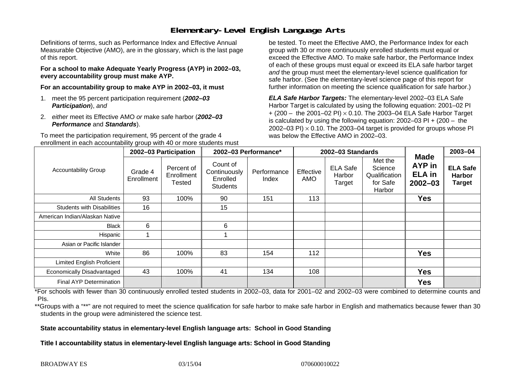## **Elementary-Level English Language Arts**

Definitions of terms, such as Performance Index and Effective Annual Measurable Objective (AMO), are in the glossary, which is the last page of this report.

**For a school to make Adequate Yearly Progress (AYP) in 2002–03, every accountability group must make AYP.** 

**For an accountability group to make AYP in 2002–03, it must** 

- 1. meet the 95 percent participation requirement (*2002–03 Participation*), *and*
- 2. *either* meet its Effective AMO *or* make safe harbor (*2002–03 Performance* and *Standards*).

To meet the participation requirement, 95 percent of the grade 4 enrollment in each accountability group with 40 or more students must

be tested. To meet the Effective AMO, the Performance Index for each group with 30 or more continuously enrolled students must equal or exceed the Effective AMO. To make safe harbor, the Performance Index of each of these groups must equal or exceed its ELA safe harbor target *and* the group must meet the elementary-level science qualification for safe harbor. (See the elementary-level science page of this report for further information on meeting the science qualification for safe harbor.)

*ELA Safe Harbor Targets:* The elementary-level 2002–03 ELA Safe Harbor Target is calculated by using the following equation: 2001–02 PI + (200 – the 2001–02 PI) <sup>×</sup> 0.10. The 2003–04 ELA Safe Harbor Target is calculated by using the following equation: 2002–03 PI + (200 – the 2002–03 PI)  $\times$  0.10. The 2003–04 target is provided for groups whose PI was below the Effective AMO in 2002–03.

| <b>Accountability Group</b>       | 2002-03 Participation |                                    | 2002-03 Performance*                                    |                      | 2002-03 Standards |                                     |                                                           |                                                              | $2003 - 04$                                       |
|-----------------------------------|-----------------------|------------------------------------|---------------------------------------------------------|----------------------|-------------------|-------------------------------------|-----------------------------------------------------------|--------------------------------------------------------------|---------------------------------------------------|
|                                   | Grade 4<br>Enrollment | Percent of<br>Enrollment<br>Tested | Count of<br>Continuously<br>Enrolled<br><b>Students</b> | Performance<br>Index | Effective<br>AMO  | <b>ELA Safe</b><br>Harbor<br>Target | Met the<br>Science<br>Qualification<br>for Safe<br>Harbor | <b>Made</b><br><b>AYP</b> in<br><b>ELA</b> in<br>$2002 - 03$ | <b>ELA Safe</b><br><b>Harbor</b><br><b>Target</b> |
| All Students                      | 93                    | 100%                               | 90                                                      | 151                  | 113               |                                     |                                                           | <b>Yes</b>                                                   |                                                   |
| <b>Students with Disabilities</b> | 16                    |                                    | 15                                                      |                      |                   |                                     |                                                           |                                                              |                                                   |
| American Indian/Alaskan Native    |                       |                                    |                                                         |                      |                   |                                     |                                                           |                                                              |                                                   |
| <b>Black</b>                      | 6                     |                                    | 6                                                       |                      |                   |                                     |                                                           |                                                              |                                                   |
| Hispanic                          |                       |                                    |                                                         |                      |                   |                                     |                                                           |                                                              |                                                   |
| Asian or Pacific Islander         |                       |                                    |                                                         |                      |                   |                                     |                                                           |                                                              |                                                   |
| White                             | 86                    | 100%                               | 83                                                      | 154                  | 112               |                                     |                                                           | <b>Yes</b>                                                   |                                                   |
| Limited English Proficient        |                       |                                    |                                                         |                      |                   |                                     |                                                           |                                                              |                                                   |
| Economically Disadvantaged        | 43                    | 100%                               | 41                                                      | 134                  | 108               |                                     |                                                           | <b>Yes</b>                                                   |                                                   |
| <b>Final AYP Determination</b>    |                       |                                    |                                                         |                      |                   |                                     |                                                           | <b>Yes</b>                                                   |                                                   |

\*For schools with fewer than 30 continuously enrolled tested students in 2002–03, data for 2001–02 and 2002–03 were combined to determine counts and PIs.

\*\*Groups with a "\*\*" are not required to meet the science qualification for safe harbor to make safe harbor in English and mathematics because fewer than 30 students in the group were administered the science test.

**State accountability status in elementary-level English language arts: School in Good Standing** 

Title I accountability status in elementary-level English language arts: School in Good Standing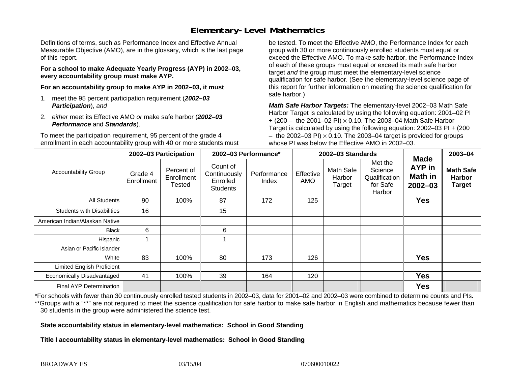## **Elementary-Level Mathematics**

Definitions of terms, such as Performance Index and Effective Annual Measurable Objective (AMO), are in the glossary, which is the last page of this report.

**For a school to make Adequate Yearly Progress (AYP) in 2002–03, every accountability group must make AYP.** 

**For an accountability group to make AYP in 2002–03, it must** 

- 1. meet the 95 percent participation requirement (*2002–03 Participation*), *and*
- 2. *either* meet its Effective AMO *or* make safe harbor (*2002–03 Performance* and *Standards*).

To meet the participation requirement, 95 percent of the grade 4 enrollment in each accountability group with 40 or more students must

be tested. To meet the Effective AMO, the Performance Index for each group with 30 or more continuously enrolled students must equal or exceed the Effective AMO. To make safe harbor, the Performance Index of each of these groups must equal or exceed its math safe harbor target *and* the group must meet the elementary-level science qualification for safe harbor. (See the elementary-level science page of this report for further information on meeting the science qualification for safe harbor.)

*Math Safe Harbor Targets:* The elementary-level 2002–03 Math Safe Harbor Target is calculated by using the following equation: 2001–02 PI + (200 – the 2001–02 PI) × 0.10. The 2003–04 Math Safe Harbor Target is calculated by using the following equation: 2002–03 PI + (200  $-$  the 2002–03 PI)  $\times$  0.10. The 2003–04 target is provided for groups whose PI was below the Effective AMO in 2002–03.

| <b>Accountability Group</b>       | 2002-03 Participation |                                    | 2002-03 Performance*                                    |                      | 2002-03 Standards |                               |                                                           |                                                        | 2003-04                                            |
|-----------------------------------|-----------------------|------------------------------------|---------------------------------------------------------|----------------------|-------------------|-------------------------------|-----------------------------------------------------------|--------------------------------------------------------|----------------------------------------------------|
|                                   | Grade 4<br>Enrollment | Percent of<br>Enrollment<br>Tested | Count of<br>Continuously<br>Enrolled<br><b>Students</b> | Performance<br>Index | Effective<br>AMO  | Math Safe<br>Harbor<br>Target | Met the<br>Science<br>Qualification<br>for Safe<br>Harbor | <b>Made</b><br>AYP in<br><b>Math in</b><br>$2002 - 03$ | <b>Math Safe</b><br><b>Harbor</b><br><b>Target</b> |
| All Students                      | 90                    | 100%                               | 87                                                      | 172                  | 125               |                               |                                                           | <b>Yes</b>                                             |                                                    |
| <b>Students with Disabilities</b> | 16                    |                                    | 15                                                      |                      |                   |                               |                                                           |                                                        |                                                    |
| American Indian/Alaskan Native    |                       |                                    |                                                         |                      |                   |                               |                                                           |                                                        |                                                    |
| <b>Black</b>                      | 6                     |                                    | 6                                                       |                      |                   |                               |                                                           |                                                        |                                                    |
| Hispanic                          |                       |                                    |                                                         |                      |                   |                               |                                                           |                                                        |                                                    |
| Asian or Pacific Islander         |                       |                                    |                                                         |                      |                   |                               |                                                           |                                                        |                                                    |
| White                             | 83                    | 100%                               | 80                                                      | 173                  | 126               |                               |                                                           | <b>Yes</b>                                             |                                                    |
| Limited English Proficient        |                       |                                    |                                                         |                      |                   |                               |                                                           |                                                        |                                                    |
| Economically Disadvantaged        | 41                    | 100%                               | 39                                                      | 164                  | 120               |                               |                                                           | <b>Yes</b>                                             |                                                    |
| <b>Final AYP Determination</b>    |                       |                                    |                                                         |                      |                   |                               |                                                           | <b>Yes</b>                                             |                                                    |

\*For schools with fewer than 30 continuously enrolled tested students in 2002–03, data for 2001–02 and 2002–03 were combined to determine counts and PIs. \*\*Groups with a "\*\*" are not required to meet the science qualification for safe harbor to make safe harbor in English and mathematics because fewer than 30 students in the group were administered the science test.

**State accountability status in elementary-level mathematics: School in Good Standing** 

Title I accountability status in elementary-level mathematics: School in Good Standing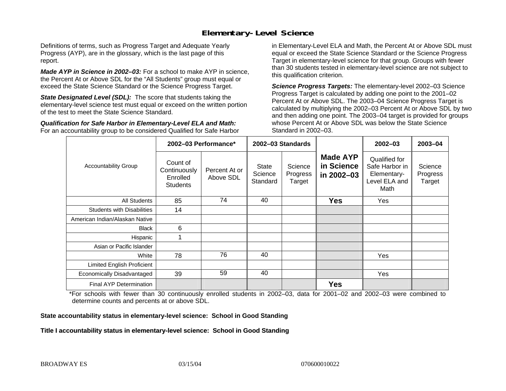### **Elementary-Level Science**

Definitions of terms, such as Progress Target and Adequate Yearly Progress (AYP), are in the glossary, which is the last page of this report.

*Made AYP in Science in 2002–03:* For a school to make AYP in science, the Percent At or Above SDL for the "All Students" group must equal or exceed the State Science Standard or the Science Progress Target.

**State Designated Level (SDL):** The score that students taking the elementary-level science test must equal or exceed on the written portion of the test to meet the State Science Standard.

*Qualification for Safe Harbor in Elementary-Level ELA and Math:* For an accountability group to be considered Qualified for Safe Harbor in Elementary-Level ELA and Math, the Percent At or Above SDL must equal or exceed the State Science Standard or the Science Progress Target in elementary-level science for that group. Groups with fewer than 30 students tested in elementary-level science are not subject to this qualification criterion.

*Science Progress Targets:* The elementary-level 2002–03 Science Progress Target is calculated by adding one point to the 2001–02 Percent At or Above SDL. The 2003–04 Science Progress Target is calculated by multiplying the 2002–03 Percent At or Above SDL by two and then adding one point. The 2003–04 target is provided for groups whose Percent At or Above SDL was below the State Science Standard in 2002–03.

|                                   |                                                         | 2002-03 Performance*       | 2002-03 Standards            |                               |                                             | $2002 - 03$                                                             | 2003-04                       |
|-----------------------------------|---------------------------------------------------------|----------------------------|------------------------------|-------------------------------|---------------------------------------------|-------------------------------------------------------------------------|-------------------------------|
| <b>Accountability Group</b>       | Count of<br>Continuously<br>Enrolled<br><b>Students</b> | Percent At or<br>Above SDL | State<br>Science<br>Standard | Science<br>Progress<br>Target | <b>Made AYP</b><br>in Science<br>in 2002-03 | Qualified for<br>Safe Harbor in<br>Elementary-<br>Level ELA and<br>Math | Science<br>Progress<br>Target |
| All Students                      | 85                                                      | 74                         | 40                           |                               | <b>Yes</b>                                  | Yes                                                                     |                               |
| <b>Students with Disabilities</b> | 14                                                      |                            |                              |                               |                                             |                                                                         |                               |
| American Indian/Alaskan Native    |                                                         |                            |                              |                               |                                             |                                                                         |                               |
| <b>Black</b>                      | 6                                                       |                            |                              |                               |                                             |                                                                         |                               |
| Hispanic                          |                                                         |                            |                              |                               |                                             |                                                                         |                               |
| Asian or Pacific Islander         |                                                         |                            |                              |                               |                                             |                                                                         |                               |
| White                             | 78                                                      | 76                         | 40                           |                               |                                             | Yes                                                                     |                               |
| Limited English Proficient        |                                                         |                            |                              |                               |                                             |                                                                         |                               |
| Economically Disadvantaged        | 39                                                      | 59                         | 40                           |                               |                                             | Yes                                                                     |                               |
| <b>Final AYP Determination</b>    |                                                         |                            |                              |                               | <b>Yes</b>                                  |                                                                         |                               |

\*For schools with fewer than 30 continuously enrolled students in 2002–03, data for 2001–02 and 2002–03 were combined to determine counts and percents at or above SDL.

#### **State accountability status in elementary-level science: School in Good Standing**

#### Title I accountability status in elementary-level science: School in Good Standing